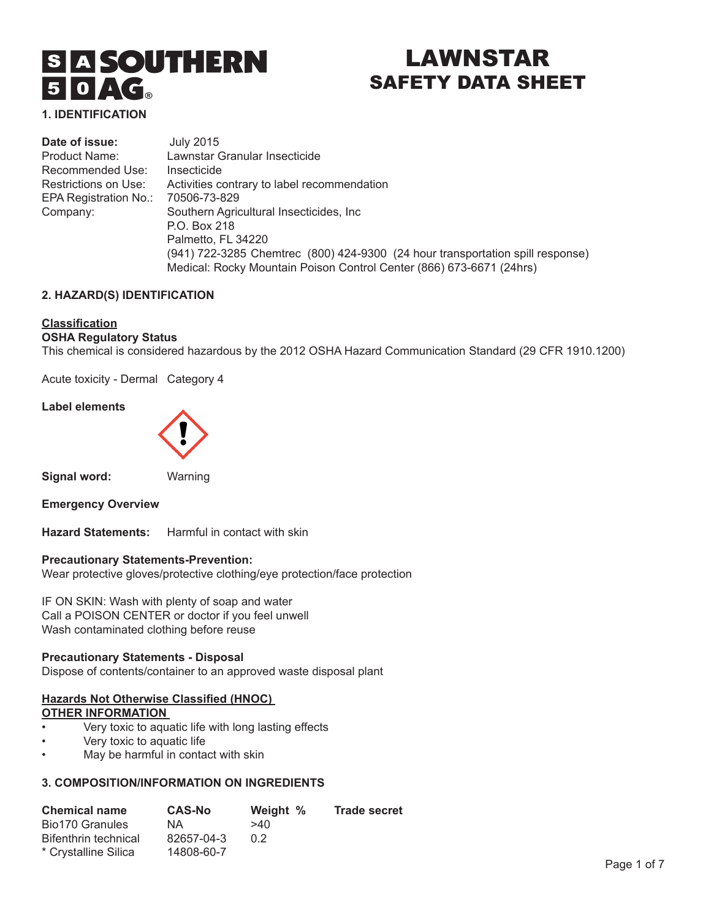# **SIA SOUTHERN**  $50 \triangle C_{\circ}$

# LAWNSTAR SAFETY DATA SHEET

**1. IDENTIFICATION** 

| Date of issue:        | <b>July 2015</b>                                                               |
|-----------------------|--------------------------------------------------------------------------------|
| Product Name:         | Lawnstar Granular Insecticide                                                  |
| Recommended Use:      | Insecticide                                                                    |
| Restrictions on Use:  | Activities contrary to label recommendation                                    |
| EPA Registration No.: | 70506-73-829                                                                   |
| Company:              | Southern Agricultural Insecticides, Inc.                                       |
|                       | P.O. Box 218                                                                   |
|                       | Palmetto, FL 34220                                                             |
|                       | (941) 722-3285 Chemtrec (800) 424-9300 (24 hour transportation spill response) |
|                       | Medical: Rocky Mountain Poison Control Center (866) 673-6671 (24hrs)           |

# **2. HAZARD(S) IDENTIFICATION**

#### **Classification**

# **OSHA Regulatory Status**

This chemical is considered hazardous by the 2012 OSHA Hazard Communication Standard (29 CFR 1910.1200)

Acute toxicity - Dermal Category 4

#### **Label elements**



**Signal word:** Warning

**Emergency Overview**

**Hazard Statements:** Harmful in contact with skin

#### **Precautionary Statements-Prevention:**

Wear protective gloves/protective clothing/eye protection/face protection

IF ON SKIN: Wash with plenty of soap and water Call a POISON CENTER or doctor if you feel unwell Wash contaminated clothing before reuse

# **Precautionary Statements - Disposal**

Dispose of contents/container to an approved waste disposal plant

# **Hazards Not Otherwise Classified (HNOC) OTHER INFORMATION**

- Very toxic to aquatic life with long lasting effects
- Very toxic to aquatic life
- May be harmful in contact with skin

# **3. COMPOSITION/INFORMATION ON INGREDIENTS**

| <b>Chemical name</b> | <b>CAS-No</b> | Weight % | <b>Trade secret</b> |
|----------------------|---------------|----------|---------------------|
| Bio170 Granules      | NA.           | >40      |                     |
| Bifenthrin technical | 82657-04-3    | 0.2      |                     |
| * Crystalline Silica | 14808-60-7    |          |                     |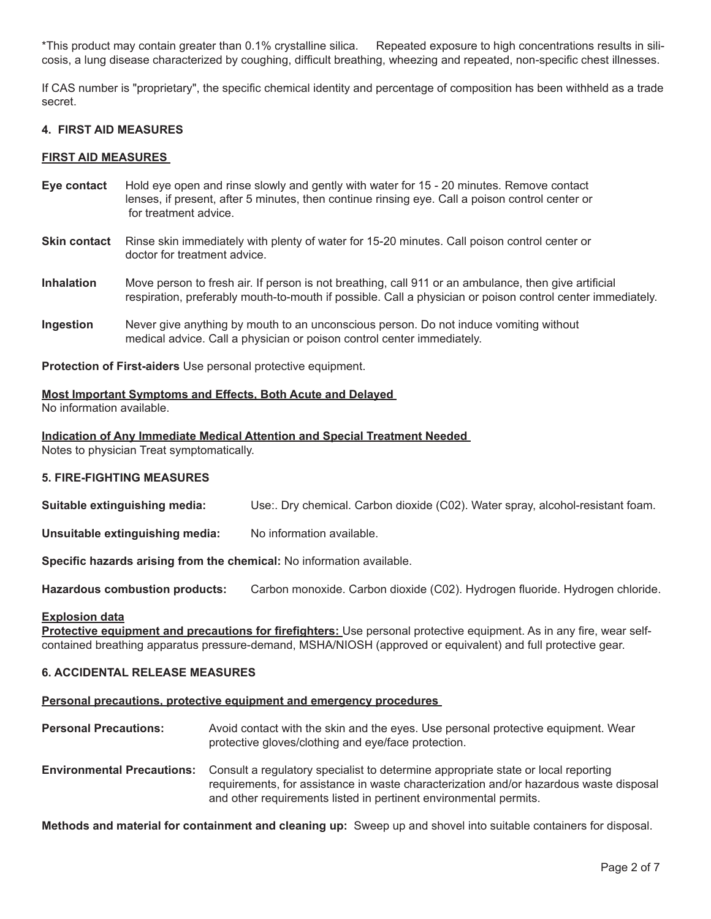\*This product may contain greater than 0.1% crystalline silica. Repeated exposure to high concentrations results in silicosis, a lung disease characterized by coughing, difficult breathing, wheezing and repeated, non-specific chest illnesses.

If CAS number is "proprietary", the specific chemical identity and percentage of composition has been withheld as a trade secret.

### **4. FIRST AID MEASURES**

#### **FIRST AID MEASURES**

- **Eye contact** Hold eye open and rinse slowly and gently with water for 15 20 minutes. Remove contact lenses, if present, after 5 minutes, then continue rinsing eye. Call a poison control center or for treatment advice.
- **Skin contact** Rinse skin immediately with plenty of water for 15-20 minutes. Call poison control center or doctor for treatment advice.
- **Inhalation** Move person to fresh air. If person is not breathing, call 911 or an ambulance, then give artificial respiration, preferably mouth-to-mouth if possible. Call a physician or poison control center immediately.
- **Ingestion** Never give anything by mouth to an unconscious person. Do not induce vomiting without medical advice. Call a physician or poison control center immediately.

**Protection of First-aiders** Use personal protective equipment.

#### **Most Important Symptoms and Effects, Both Acute and Delayed**

No information available.

**Indication of Any Immediate Medical Attention and Special Treatment Needed** 

Notes to physician Treat symptomatically.

#### **5. FIRE-FIGHTING MEASURES**

**Suitable extinguishing media:** Use:. Dry chemical. Carbon dioxide (C02). Water spray, alcohol-resistant foam.

**Unsuitable extinguishing media:** No information available.

**Specific hazards arising from the chemical:** No information available.

**Hazardous combustion products:** Carbon monoxide. Carbon dioxide (C02). Hydrogen fluoride. Hydrogen chloride.

#### **Explosion data**

**Protective equipment and precautions for firefighters:** Use personal protective equipment. As in any fire, wear selfcontained breathing apparatus pressure-demand, MSHA/NIOSH (approved or equivalent) and full protective gear.

# **6. ACCIDENTAL RELEASE MEASURES**

#### **Personal precautions, protective equipment and emergency procedures**

- **Personal Precautions:** Avoid contact with the skin and the eyes. Use personal protective equipment. Wear protective gloves/clothing and eye/face protection.
- **Environmental Precautions:** Consult a regulatory specialist to determine appropriate state or local reporting requirements, for assistance in waste characterization and/or hazardous waste disposal and other requirements listed in pertinent environmental permits.

**Methods and material for containment and cleaning up:** Sweep up and shovel into suitable containers for disposal.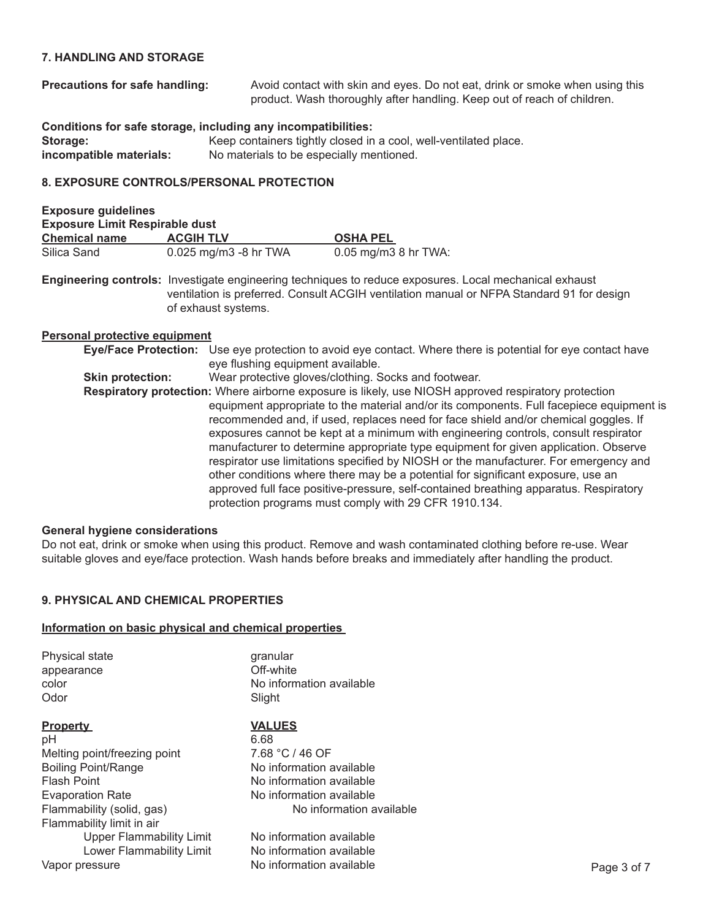# **7. HANDLING AND STORAGE**

**Precautions for safe handling:** Avoid contact with skin and eyes. Do not eat, drink or smoke when using this product. Wash thoroughly after handling. Keep out of reach of children.

**Conditions for safe storage, including any incompatibilities: Storage:** Keep containers tightly closed in a cool, well-ventilated place.<br> **Incompatible materials:** No materials to be especially mentioned. No materials to be especially mentioned.

# **8. EXPOSURE CONTROLS/PERSONAL PROTECTION**

| <b>Exposure guidelines</b>            |                         |                        |  |  |
|---------------------------------------|-------------------------|------------------------|--|--|
| <b>Exposure Limit Respirable dust</b> |                         |                        |  |  |
| <b>Chemical name</b>                  | <b>ACGIH TLV</b>        | <b>OSHA PEL</b>        |  |  |
| Silica Sand                           | $0.025$ mg/m3 -8 hr TWA | $0.05$ mg/m3 8 hr TWA: |  |  |

**Engineering controls:** Investigate engineering techniques to reduce exposures. Local mechanical exhaust ventilation is preferred. Consult ACGIH ventilation manual or NFPA Standard 91 for design of exhaust systems.

#### **Personal protective equipment**

|                         | Eye/Face Protection: Use eye protection to avoid eye contact. Where there is potential for eye contact have |  |  |  |
|-------------------------|-------------------------------------------------------------------------------------------------------------|--|--|--|
|                         | eye flushing equipment available.                                                                           |  |  |  |
| <b>Skin protection:</b> | Wear protective gloves/clothing. Socks and footwear.                                                        |  |  |  |
|                         | Respiratory protection: Where airborne exposure is likely, use NIOSH approved respiratory protection        |  |  |  |
|                         | equipment appropriate to the material and/or its components. Full facepiece equipment is                    |  |  |  |
|                         | recommended and, if used, replaces need for face shield and/or chemical goggles. If                         |  |  |  |
|                         | exposures cannot be kept at a minimum with engineering controls, consult respirator                         |  |  |  |
|                         | manufacturer to determine appropriate type equipment for given application. Observe                         |  |  |  |
|                         | respirator use limitations specified by NIOSH or the manufacturer. For emergency and                        |  |  |  |
|                         | other conditions where there may be a potential for significant exposure, use an                            |  |  |  |
|                         | approved full face positive-pressure, self-contained breathing apparatus. Respiratory                       |  |  |  |
|                         | protection programs must comply with 29 CFR 1910.134.                                                       |  |  |  |

#### **General hygiene considerations**

Do not eat, drink or smoke when using this product. Remove and wash contaminated clothing before re-use. Wear suitable gloves and eye/face protection. Wash hands before breaks and immediately after handling the product.

# **9. PHYSICAL AND CHEMICAL PROPERTIES**

#### **Information on basic physical and chemical properties**

| <b>Physical state</b>           | granular                 |             |
|---------------------------------|--------------------------|-------------|
| appearance                      | Off-white                |             |
| color                           | No information available |             |
| Odor                            | Slight                   |             |
| <b>Property</b>                 | <b>VALUES</b>            |             |
| рH                              | 6.68                     |             |
| Melting point/freezing point    | 7.68 °C / 46 OF          |             |
| Boiling Point/Range             | No information available |             |
| <b>Flash Point</b>              | No information available |             |
| <b>Evaporation Rate</b>         | No information available |             |
| Flammability (solid, gas)       | No information available |             |
| Flammability limit in air       |                          |             |
| <b>Upper Flammability Limit</b> | No information available |             |
| Lower Flammability Limit        | No information available |             |
| Vapor pressure                  | No information available | Page 3 of 7 |
|                                 |                          |             |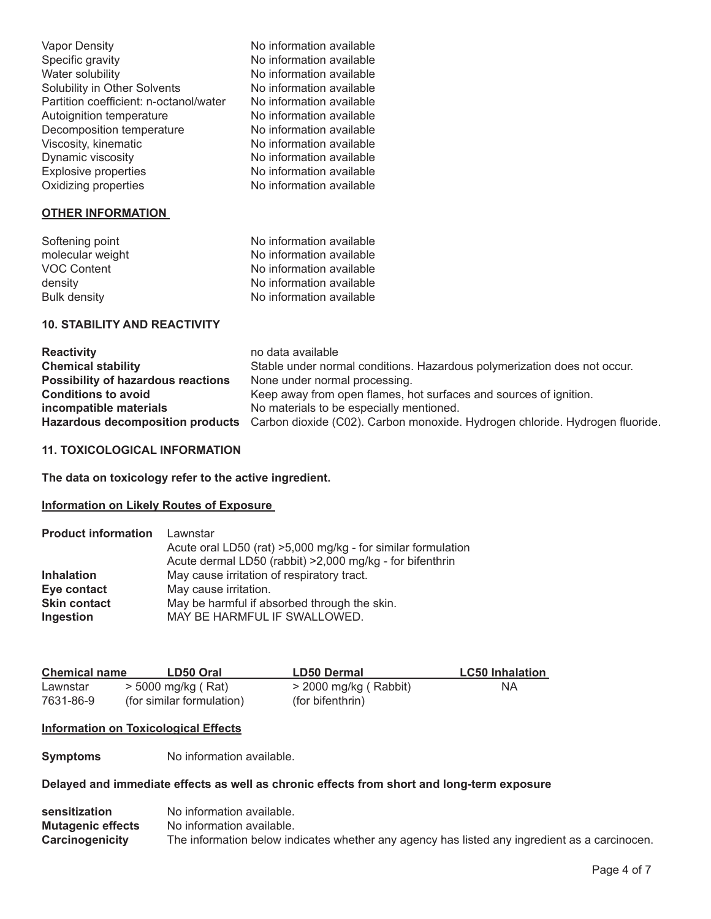| Vapor Density                          | No information available |
|----------------------------------------|--------------------------|
| Specific gravity                       | No information available |
| Water solubility                       | No information available |
| Solubility in Other Solvents           | No information available |
| Partition coefficient: n-octanol/water | No information available |
| Autoignition temperature               | No information available |
| Decomposition temperature              | No information available |
| Viscosity, kinematic                   | No information available |
| Dynamic viscosity                      | No information available |
| <b>Explosive properties</b>            | No information available |
| Oxidizing properties                   | No information available |

# **OTHER INFORMATION**

| Softening point     | No information available |
|---------------------|--------------------------|
| molecular weight    | No information available |
| <b>VOC Content</b>  | No information available |
| density             | No information available |
| <b>Bulk density</b> | No information available |
|                     |                          |

# **10. STABILITY AND REACTIVITY**

| <b>Reactivity</b>                         | no data available                                                                                             |
|-------------------------------------------|---------------------------------------------------------------------------------------------------------------|
| <b>Chemical stability</b>                 | Stable under normal conditions. Hazardous polymerization does not occur.                                      |
| <b>Possibility of hazardous reactions</b> | None under normal processing.                                                                                 |
| <b>Conditions to avoid</b>                | Keep away from open flames, hot surfaces and sources of ignition.                                             |
| incompatible materials                    | No materials to be especially mentioned.                                                                      |
|                                           | Hazardous decomposition products Carbon dioxide (C02). Carbon monoxide. Hydrogen chloride. Hydrogen fluoride. |
|                                           |                                                                                                               |

# **11. TOXICOLOGICAL INFORMATION**

**The data on toxicology refer to the active ingredient.**

# **Information on Likely Routes of Exposure**

| <b>Product information</b> | Lawnstar                                                     |  |  |
|----------------------------|--------------------------------------------------------------|--|--|
|                            | Acute oral LD50 (rat) >5,000 mg/kg - for similar formulation |  |  |
|                            | Acute dermal LD50 (rabbit) >2,000 mg/kg - for bifenthrin     |  |  |
| <b>Inhalation</b>          | May cause irritation of respiratory tract.                   |  |  |
| Eye contact                | May cause irritation.                                        |  |  |
| <b>Skin contact</b>        | May be harmful if absorbed through the skin.                 |  |  |
| Ingestion                  | MAY BE HARMFUL IF SWALLOWED.                                 |  |  |

| <b>Chemical name</b> | LD50 Oral                 | LD50 Dermal             | <b>LC50 Inhalation</b> |
|----------------------|---------------------------|-------------------------|------------------------|
| Lawnstar             | $>$ 5000 mg/kg (Rat)      | $>$ 2000 mg/kg (Rabbit) | NΑ                     |
| 7631-86-9            | (for similar formulation) | (for bifenthrin)        |                        |

# **Information on Toxicological Effects**

**Symptoms** No information available.

# **Delayed and immediate effects as well as chronic effects from short and long-term exposure**

| sensitization            | No information available.                                                                     |
|--------------------------|-----------------------------------------------------------------------------------------------|
| <b>Mutagenic effects</b> | No information available.                                                                     |
| <b>Carcinogenicity</b>   | The information below indicates whether any agency has listed any ingredient as a carcinocen. |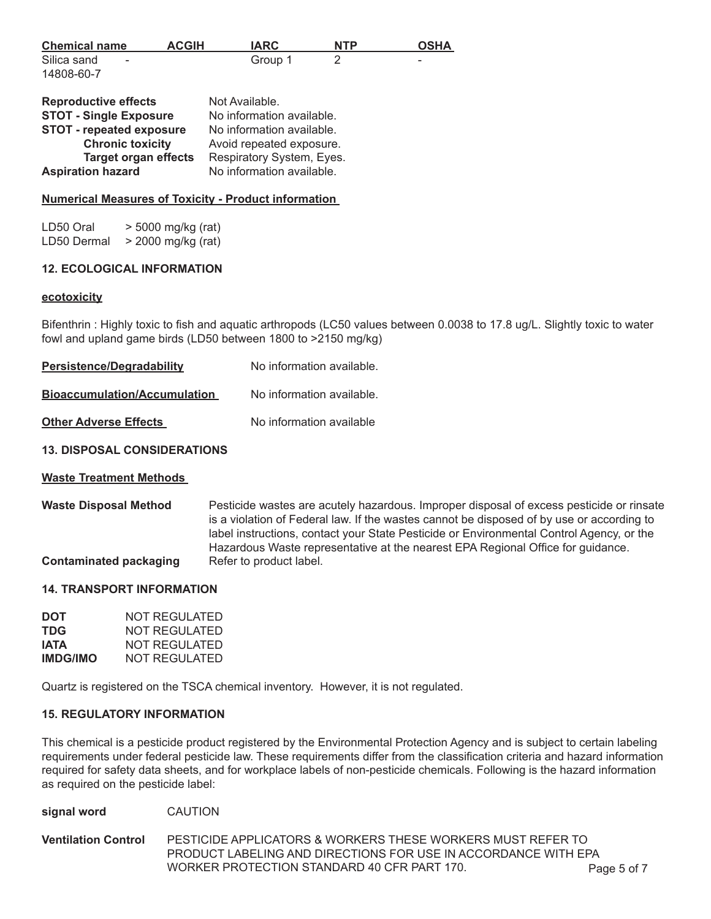| <b>Chemical name</b> | <b>ACGIH</b> | <b>IARC</b> | <b>NTP</b> | <b>OSHA</b> |
|----------------------|--------------|-------------|------------|-------------|
| Silica sand<br>-     |              | Group 1     |            | $\sim$      |
| 14808-60-7           |              |             |            |             |

| <b>Reproductive effects</b>     | Not Available.            |
|---------------------------------|---------------------------|
| <b>STOT - Single Exposure</b>   | No information available. |
| <b>STOT - repeated exposure</b> | No information available. |
| <b>Chronic toxicity</b>         | Avoid repeated exposure.  |
| <b>Target organ effects</b>     | Respiratory System, Eyes. |
| <b>Aspiration hazard</b>        | No information available. |

### **Numerical Measures of Toxicity - Product information**

LD50 Oral  $>$  5000 mg/kg (rat) LD50 Dermal  $>$  2000 mg/kg (rat)

#### **12. ECOLOGICAL INFORMATION**

#### **ecotoxicity**

Bifenthrin : Highly toxic to fish and aquatic arthropods (LC50 values between 0.0038 to 17.8 ug/L. Slightly toxic to water fowl and upland game birds (LD50 between 1800 to >2150 mg/kg)

| <b>Persistence/Degradability</b>    | No information available. |
|-------------------------------------|---------------------------|
| <b>Bioaccumulation/Accumulation</b> | No information available. |
| <b>Other Adverse Effects</b>        | No information available  |
| <b>13. DISPOSAL CONSIDERATIONS</b>  |                           |

# **Waste Treatment Methods**

**Waste Disposal Method** Pesticide wastes are acutely hazardous. Improper disposal of excess pesticide or rinsate is a violation of Federal law. If the wastes cannot be disposed of by use or according to label instructions, contact your State Pesticide or Environmental Control Agency, or the Hazardous Waste representative at the nearest EPA Regional Office for guidance. **Contaminated packaging •• Refer to product label.** 

### **14. TRANSPORT INFORMATION**

| <b>DOT</b>      | NOT REGULATED |
|-----------------|---------------|
| TDG             | NOT REGULATED |
| IATA            | NOT REGULATED |
| <b>IMDG/IMO</b> | NOT REGULATED |

Quartz is registered on the TSCA chemical inventory. However, it is not regulated.

### **15. REGULATORY INFORMATION**

This chemical is a pesticide product registered by the Environmental Protection Agency and is subject to certain labeling requirements under federal pesticide law. These requirements differ from the classification criteria and hazard information required for safety data sheets, and for workplace labels of non-pesticide chemicals. Following is the hazard information as required on the pesticide label:

| signal word |  | <b>CAUTION</b> |
|-------------|--|----------------|
|-------------|--|----------------|

**Ventilation Control** PESTICIDE APPLICATORS & WORKERS THESE WORKERS MUST REFER TO PRODUCT LABELING AND DIRECTIONS FOR USE IN ACCORDANCE WITH EPA WORKER PROTECTION STANDARD 40 CFR PART 170. Page 5 of 7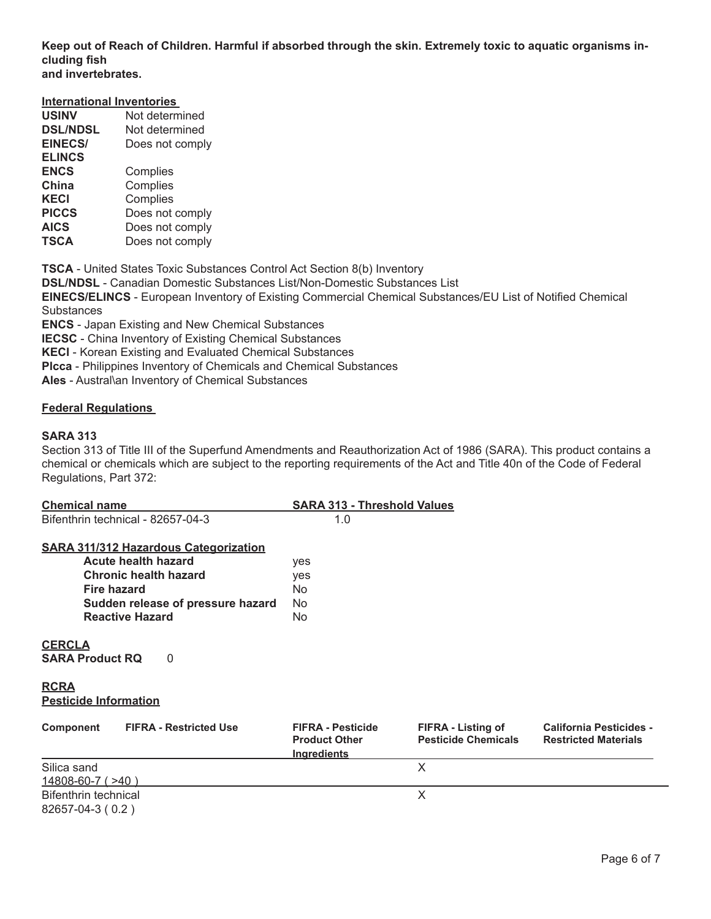**Keep out of Reach of Children. Harmful if absorbed through the skin. Extremely toxic to aquatic organisms including fish and invertebrates.** 

#### **International Inventories**

| <b>USINV</b>    | Not determined  |
|-----------------|-----------------|
| <b>DSL/NDSL</b> | Not determined  |
| <b>EINECS/</b>  | Does not comply |
| <b>ELINCS</b>   |                 |
| <b>ENCS</b>     | Complies        |
| China           | Complies        |
| KECI            | Complies        |
| <b>PICCS</b>    | Does not comply |
| AICS            | Does not comply |
| <b>TSCA</b>     | Does not comply |

**TSCA** - United States Toxic Substances Control Act Section 8(b) Inventory

**DSL/NDSL** - Canadian Domestic Substances List/Non-Domestic Substances List

**EINECS/ELINCS** - European Inventory of Existing Commercial Chemical Substances/EU List of Notified Chemical **Substances** 

**ENCS** - Japan Existing and New Chemical Substances

**IECSC** - China Inventory of Existing Chemical Substances

**KECl** - Korean Existing and Evaluated Chemical Substances

**Plcca** - Philippines Inventory of Chemicals and Chemical Substances

**Ales** - Austral\an Inventory of Chemical Substances

# **Federal Regulations**

#### **SARA 313**

Section 313 of Title III of the Superfund Amendments and Reauthorization Act of 1986 (SARA). This product contains a chemical or chemicals which are subject to the reporting requirements of the Act and Title 40n of the Code of Federal Regulations, Part 372:

| <b>Chemical name</b>                                                                                                                                                                     | <b>SARA 313 - Threshold Values</b>                                     |                                                  |                                                               |
|------------------------------------------------------------------------------------------------------------------------------------------------------------------------------------------|------------------------------------------------------------------------|--------------------------------------------------|---------------------------------------------------------------|
| Bifenthrin technical - 82657-04-3                                                                                                                                                        | 1.0                                                                    |                                                  |                                                               |
| <b>SARA 311/312 Hazardous Categorization</b><br>Acute health hazard<br><b>Chronic health hazard</b><br><b>Fire hazard</b><br>Sudden release of pressure hazard<br><b>Reactive Hazard</b> | yes<br>yes<br>No.<br>No.<br>No.                                        |                                                  |                                                               |
| <b>CERCLA</b><br><b>SARA Product RQ</b><br>0                                                                                                                                             |                                                                        |                                                  |                                                               |
| <b>RCRA</b><br><b>Pesticide Information</b>                                                                                                                                              |                                                                        |                                                  |                                                               |
| Component<br><b>FIFRA - Restricted Use</b>                                                                                                                                               | <b>FIFRA - Pesticide</b><br><b>Product Other</b><br><b>Ingredients</b> | FIFRA - Listing of<br><b>Pesticide Chemicals</b> | <b>California Pesticides -</b><br><b>Restricted Materials</b> |
| Silica sand                                                                                                                                                                              |                                                                        | X                                                |                                                               |
| <u>14808-60-7 (&gt;40)</u><br>Bifenthrin technical<br>82657-04-3 (0.2)                                                                                                                   |                                                                        | X                                                |                                                               |